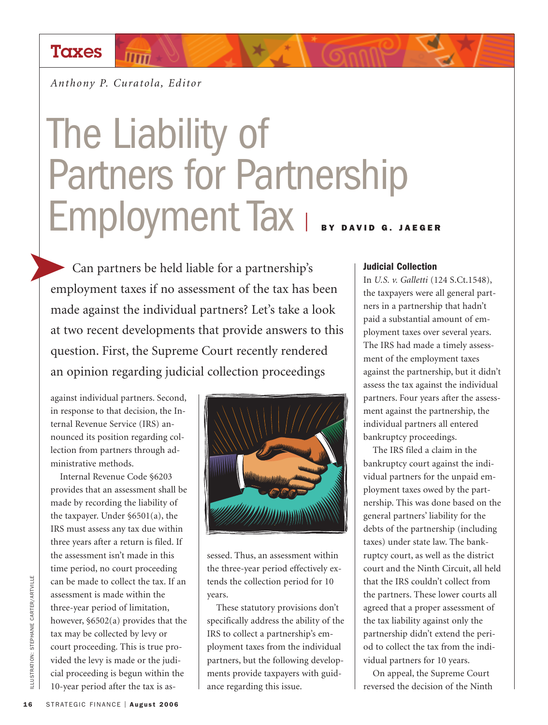## **Taxes**

*Anthony P. Curatola, Editor*

 $\overline{\text{lim}}$ 

# The Liability of Partners for Partnership Employment Tax <sup>|</sup> **BY DAVID G. JAEGER**

Can partners be held liable for a partnership's employment taxes if no assessment of the tax has been made against the individual partners? Let's take a look at two recent developments that provide answers to this question. First, the Supreme Court recently rendered an opinion regarding judicial collection proceedings

against individual partners. Second, in response to that decision, the Internal Revenue Service (IRS) announced its position regarding collection from partners through administrative methods.

Internal Revenue Code §6203 provides that an assessment shall be made by recording the liability of the taxpayer. Under §6501(a), the IRS must assess any tax due within three years after a return is filed. If the assessment isn't made in this time period, no court proceeding can be made to collect the tax. If an assessment is made within the three-year period of limitation, however, §6502(a) provides that the tax may be collected by levy or court proceeding. This is true provided the levy is made or the judicial proceeding is begun within the 10-year period after the tax is as-



sessed. Thus, an assessment within the three-year period effectively extends the collection period for 10 years.

These statutory provisions don't specifically address the ability of the IRS to collect a partnership's employment taxes from the individual partners, but the following developments provide taxpayers with guidance regarding this issue.

#### **Judicial Collection**

In *U.S. v. Galletti* (124 S.Ct.1548), the taxpayers were all general partners in a partnership that hadn't paid a substantial amount of employment taxes over several years. The IRS had made a timely assessment of the employment taxes against the partnership, but it didn't assess the tax against the individual partners. Four years after the assessment against the partnership, the individual partners all entered bankruptcy proceedings.

The IRS filed a claim in the bankruptcy court against the individual partners for the unpaid employment taxes owed by the partnership. This was done based on the general partners' liability for the debts of the partnership (including taxes) under state law. The bankruptcy court, as well as the district court and the Ninth Circuit, all held that the IRS couldn't collect from the partners. These lower courts all agreed that a proper assessment of the tax liability against only the partnership didn't extend the period to collect the tax from the individual partners for 10 years.

On appeal, the Supreme Court reversed the decision of the Ninth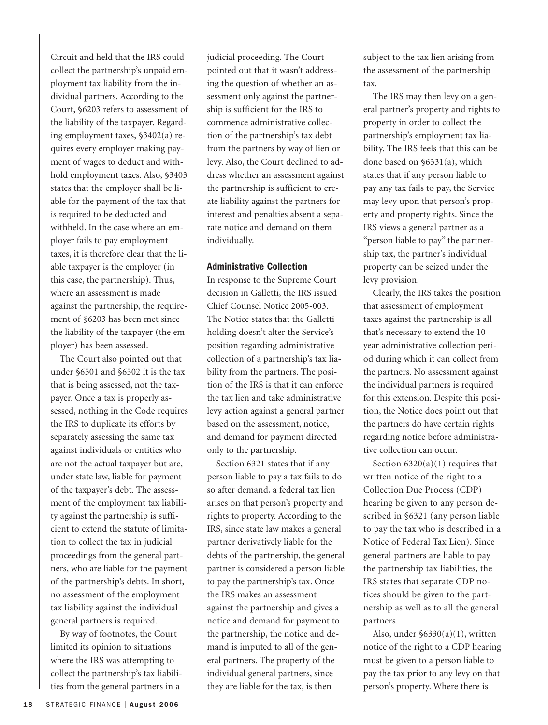Circuit and held that the IRS could collect the partnership's unpaid employment tax liability from the individual partners. According to the Court, §6203 refers to assessment of the liability of the taxpayer. Regarding employment taxes, §3402(a) requires every employer making payment of wages to deduct and withhold employment taxes. Also, §3403 states that the employer shall be liable for the payment of the tax that is required to be deducted and withheld. In the case where an employer fails to pay employment taxes, it is therefore clear that the liable taxpayer is the employer (in this case, the partnership). Thus, where an assessment is made against the partnership, the requirement of §6203 has been met since the liability of the taxpayer (the employer) has been assessed.

The Court also pointed out that under §6501 and §6502 it is the tax that is being assessed, not the taxpayer. Once a tax is properly assessed, nothing in the Code requires the IRS to duplicate its efforts by separately assessing the same tax against individuals or entities who are not the actual taxpayer but are, under state law, liable for payment of the taxpayer's debt. The assessment of the employment tax liability against the partnership is sufficient to extend the statute of limitation to collect the tax in judicial proceedings from the general partners, who are liable for the payment of the partnership's debts. In short, no assessment of the employment tax liability against the individual general partners is required.

By way of footnotes, the Court limited its opinion to situations where the IRS was attempting to collect the partnership's tax liabilities from the general partners in a

judicial proceeding. The Court pointed out that it wasn't addressing the question of whether an assessment only against the partnership is sufficient for the IRS to commence administrative collection of the partnership's tax debt from the partners by way of lien or levy. Also, the Court declined to address whether an assessment against the partnership is sufficient to create liability against the partners for interest and penalties absent a separate notice and demand on them individually.

### **Administrative Collection**

In response to the Supreme Court decision in Galletti, the IRS issued Chief Counsel Notice 2005-003. The Notice states that the Galletti holding doesn't alter the Service's position regarding administrative collection of a partnership's tax liability from the partners. The position of the IRS is that it can enforce the tax lien and take administrative levy action against a general partner based on the assessment, notice, and demand for payment directed only to the partnership.

Section 6321 states that if any person liable to pay a tax fails to do so after demand, a federal tax lien arises on that person's property and rights to property. According to the IRS, since state law makes a general partner derivatively liable for the debts of the partnership, the general partner is considered a person liable to pay the partnership's tax. Once the IRS makes an assessment against the partnership and gives a notice and demand for payment to the partnership, the notice and demand is imputed to all of the general partners. The property of the individual general partners, since they are liable for the tax, is then

subject to the tax lien arising from the assessment of the partnership tax.

The IRS may then levy on a general partner's property and rights to property in order to collect the partnership's employment tax liability. The IRS feels that this can be done based on §6331(a), which states that if any person liable to pay any tax fails to pay, the Service may levy upon that person's property and property rights. Since the IRS views a general partner as a "person liable to pay" the partnership tax, the partner's individual property can be seized under the levy provision.

Clearly, the IRS takes the position that assessment of employment taxes against the partnership is all that's necessary to extend the 10 year administrative collection period during which it can collect from the partners. No assessment against the individual partners is required for this extension. Despite this position, the Notice does point out that the partners do have certain rights regarding notice before administrative collection can occur.

Section  $6320(a)(1)$  requires that written notice of the right to a Collection Due Process (CDP) hearing be given to any person described in §6321 (any person liable to pay the tax who is described in a Notice of Federal Tax Lien). Since general partners are liable to pay the partnership tax liabilities, the IRS states that separate CDP notices should be given to the partnership as well as to all the general partners.

Also, under §6330(a)(1), written notice of the right to a CDP hearing must be given to a person liable to pay the tax prior to any levy on that person's property. Where there is